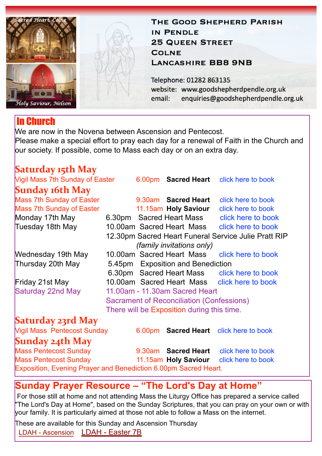

## THE GOOD SHEPHERD PARISH IN PENDLE **25 QUEEN STREET COLNE LANCASHIRE BB8 9NB**

Telephone: 01282 863135 website: www.goodshepherdpendle.org.uk email: enquiries@goodshepherdpendle.org.uk

## In Church

We are now in the Novena between Ascension and Pentecost. Please make a special effort to pray each day for a renewal of Faith in the Church and our society. If possible, come to Mass each day or on an extra day.

| <b>Saturday 15th May</b>                                                                                                                              |  |        |                           |                                              |                                    |  |  |  |                                        |
|-------------------------------------------------------------------------------------------------------------------------------------------------------|--|--------|---------------------------|----------------------------------------------|------------------------------------|--|--|--|----------------------------------------|
| <b>Vigil Mass 7th Sunday of Easter</b>                                                                                                                |  |        |                           | 6.00pm Sacred Heart click here to book       |                                    |  |  |  |                                        |
| <b>Sunday 16th May</b>                                                                                                                                |  |        |                           |                                              |                                    |  |  |  |                                        |
| Mass 7th Sunday of Easter                                                                                                                             |  |        | 9.30am Sacred Heart       | click here to book                           |                                    |  |  |  |                                        |
| Mass 7th Sunday of Easter                                                                                                                             |  |        | 11.15am Holy Saviour      | click here to book                           |                                    |  |  |  |                                        |
| Monday 17th May                                                                                                                                       |  |        |                           | 6.30pm Sacred Heart Mass click here to book  |                                    |  |  |  |                                        |
| Tuesday 18th May                                                                                                                                      |  |        |                           | 10.00am Sacred Heart Mass click here to book |                                    |  |  |  |                                        |
| 12.30pm Sacred Heart Funeral Service Julie Pratt RIP                                                                                                  |  |        |                           |                                              |                                    |  |  |  |                                        |
| <i>(family invitations only)</i>                                                                                                                      |  |        |                           |                                              |                                    |  |  |  |                                        |
| Wednesday 19th May                                                                                                                                    |  |        | 10.00am Sacred Heart Mass | click here to book                           |                                    |  |  |  |                                        |
| Thursday 20th May<br>5.45pm Exposition and Benediction                                                                                                |  |        |                           |                                              |                                    |  |  |  |                                        |
|                                                                                                                                                       |  |        |                           | 6.30pm Sacred Heart Mass click here to book  |                                    |  |  |  |                                        |
| Friday 21st May                                                                                                                                       |  |        |                           | 10.00am Sacred Heart Mass click here to book |                                    |  |  |  |                                        |
| Saturday 22nd May<br>11.00am - 11.30am Sacred Heart<br><b>Sacrament of Reconciliation (Confessions)</b><br>There will be Exposition during this time. |  |        |                           |                                              |                                    |  |  |  |                                        |
|                                                                                                                                                       |  |        |                           |                                              | <b>Saturday 23rd May</b>           |  |  |  |                                        |
|                                                                                                                                                       |  |        |                           |                                              | <b>Vigil Mass Pentecost Sunday</b> |  |  |  | 6.00pm Sacred Heart click here to book |
| <b>Sunday 24th May</b>                                                                                                                                |  |        |                           |                                              |                                    |  |  |  |                                        |
| <b>Mass Pentecost Sunday</b>                                                                                                                          |  | 9.30am |                           | <b>Sacred Heart</b> click here to book       |                                    |  |  |  |                                        |
| <b>Mass Pentecost Sunday</b>                                                                                                                          |  |        |                           | 11.15am Holy Saviour click here to book      |                                    |  |  |  |                                        |
| Exposition, Evening Prayer and Benediction 6.00pm Sacred Heart.                                                                                       |  |        |                           |                                              |                                    |  |  |  |                                        |

## **Sunday Prayer Resource – "The Lord's Day at Home"**

For those still at home and not attending Mass the Liturgy Office has prepared a service called The Lord's Day at Home", based on the Sunday Scriptures, that you can pray on your own or with your family. It is particularly aimed at those not able to follow a Mass on the internet.

These are available for this Sunday and Ascension Thursday [LDAH - Ascension](https://gbr01.safelinks.protection.outlook.com/?url=https://dioceseofsalford.us6.list-manage.com/track/click?u=76e219dab8653b775ba8aac4c&id=619020bf71&e=5ce69633f0&data=04%7C01%7Cpeter.wilkinson@dioceseofsalford.org.uk%7C7aa1ffd0b7d14a9b2e7908d90f9c07c8%7C699a61ae142a45a090c604b2f08de19b%7C0%7C0%7C637557987474892266%7CUnknown%7CTWFpbGZsb3d8eyJWIjoiMC4wLjAwMDAiLCJQIjoiV2luMzIiLCJBTiI6Ik1haWwiLCJXVCI6Mn0=%7C1000&sdata=vlMRZGb33qxg27nIseo7Rqa3A+5CBEOCVlXdezlvC+U=&reserved=0%22%20%5Ct%20%22_blank) LDAH - Easter 7B